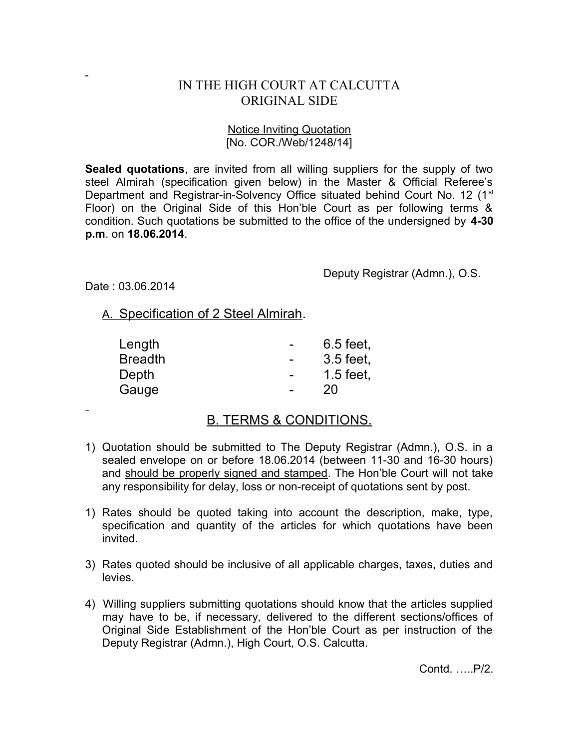## IN THE HIGH COURT AT CALCUTTA ORIGINAL SIDE

## Notice Inviting Quotation [No. COR./Web/1248/14]

**Sealed quotations**, are invited from all willing suppliers for the supply of two steel Almirah (specification given below) in the Master & Official Referee's Department and Registrar-in-Solvency Office situated behind Court No. 12 (1<sup>st</sup>) Floor) on the Original Side of this Hon'ble Court as per following terms & condition. Such quotations be submitted to the office of the undersigned by **4-30 p.m**. on **18.06.2014**.

Deputy Registrar (Admn.), O.S.

Date : 03.06.2014

 $\overline{a}$ 

A. Specification of 2 Steel Almirah.

| Length         | 6.5 feet,   |
|----------------|-------------|
| <b>Breadth</b> | 3.5 feet,   |
| Depth          | $1.5$ feet, |
| Gauge          | 20          |

## B. TERMS & CONDITIONS.

- 1) Quotation should be submitted to The Deputy Registrar (Admn.), O.S. in a sealed envelope on or before 18.06.2014 (between 11-30 and 16-30 hours) and should be properly signed and stamped. The Hon'ble Court will not take any responsibility for delay, loss or non-receipt of quotations sent by post.
- 1) Rates should be quoted taking into account the description, make, type, specification and quantity of the articles for which quotations have been invited.
- 3) Rates quoted should be inclusive of all applicable charges, taxes, duties and levies.
- 4) Willing suppliers submitting quotations should know that the articles supplied may have to be, if necessary, delivered to the different sections/offices of Original Side Establishment of the Hon'ble Court as per instruction of the Deputy Registrar (Admn.), High Court, O.S. Calcutta.

Contd. …..P/2.